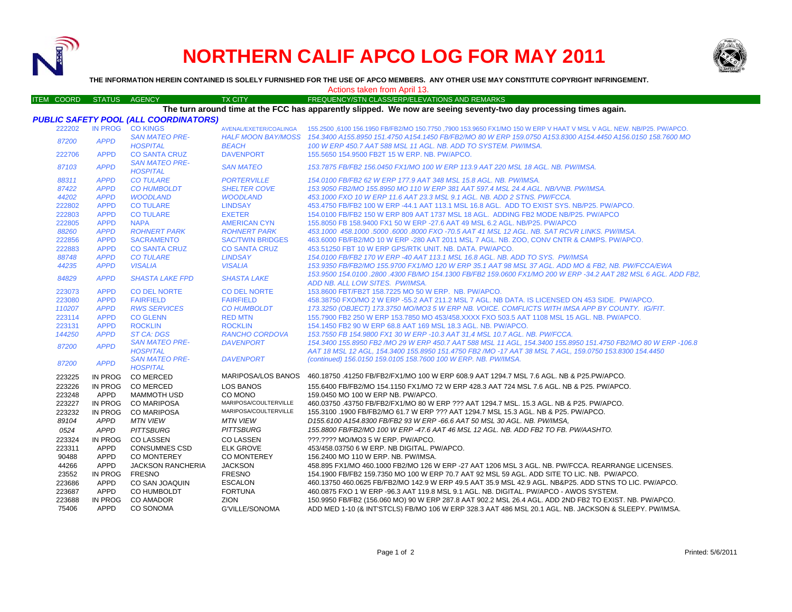

## **NORTHERN CALIF APCO LOG FOR MAY 2011**



**THE INFORMATION HEREIN CONTAINED IS SOLELY FURNISHED FOR THE USE OF APCO MEMBERS. ANY OTHER USE MAY CONSTITUTE COPYRIGHT INFRINGEMENT.**

Actions taken from April 13.

| <b>ITEM COORD</b> |        | <b>STATUS</b> | AGENCY                                       | <b>TX CITY</b>          | FREQUENCY/STN CLASS/ERP/ELEVATIONS AND REMARKS                                                                                                                                                                           |
|-------------------|--------|---------------|----------------------------------------------|-------------------------|--------------------------------------------------------------------------------------------------------------------------------------------------------------------------------------------------------------------------|
|                   |        |               |                                              |                         | The turn around time at the FCC has apparently slipped. We now are seeing seventy-two day processing times again.                                                                                                        |
|                   |        |               | <b>PUBLIC SAFETY POOL (ALL COORDINATORS)</b> |                         |                                                                                                                                                                                                                          |
|                   | 222202 |               | IN PROG CO KINGS                             | AVENAL/EXETER/COALINGA  | 155.2500 ,6100 156.1950 FB/FB2/MO 150.7750 ,7900 153.9650 FX1/MO 150 W ERP V HAAT V MSL V AGL. NEW. NB/P25. PW/APCO.                                                                                                     |
|                   | 87200  | <b>APPD</b>   | <b>SAN MATEO PRE-</b><br><b>HOSPITAL</b>     | <b>BEACH</b>            | HALF MOON BAY/MOSS 154.3400 A155.8950 151.4750 A154.1450 FB/FB2/MO 80 W ERP 159.0750 A153.8300 A154.4450 A156.0150 158.7600 MO<br>100 W ERP 450.7 AAT 588 MSL 11 AGL. NB. ADD TO SYSTEM. PW/IMSA.                        |
|                   | 222706 | <b>APPD</b>   | <b>CO SANTA CRUZ</b>                         | <b>DAVENPORT</b>        | 155.5650 154.9500 FB2T 15 W ERP. NB. PW/APCO.                                                                                                                                                                            |
|                   | 87103  | <b>APPD</b>   | <b>SAN MATEO PRE-</b><br><b>HOSPITAL</b>     | <b>SAN MATEO</b>        | 153.7875 FB/FB2 156.0450 FX1/MO 100 W ERP 113.9 AAT 220 MSL 18 AGL. NB. PW/IMSA.                                                                                                                                         |
|                   | 88311  | <b>APPD</b>   | <b>CO TULARE</b>                             | <b>PORTERVILLE</b>      | 154.0100 FB/FB2 62 W ERP 177.9 AAT 348 MSL 15.8 AGL. NB. PW/IMSA.                                                                                                                                                        |
|                   | 87422  | <b>APPD</b>   | <b>CO HUMBOLDT</b>                           | <b>SHELTER COVE</b>     | 153.9050 FB2/MO 155.8950 MO 110 W ERP 381 AAT 597.4 MSL 24.4 AGL, NB/VNB, PW/IMSA,                                                                                                                                       |
|                   | 44202  | <b>APPD</b>   | <b>WOODLAND</b>                              | <b>WOODLAND</b>         | 453.1000 FXO 10 W ERP 11.6 AAT 23.3 MSL 9.1 AGL. NB. ADD 2 STNS. PW/FCCA.                                                                                                                                                |
|                   | 222802 | <b>APPD</b>   | <b>CO TULARE</b>                             | <b>LINDSAY</b>          | 453.4750 FB/FB2 100 W ERP -44.1 AAT 113.1 MSL 16.8 AGL. ADD TO EXIST SYS. NB/P25. PW/APCO.                                                                                                                               |
|                   | 222803 | <b>APPD</b>   | <b>CO TULARE</b>                             | <b>EXETER</b>           | 154,0100 FB/FB2 150 W ERP 809 AAT 1737 MSL 18 AGL. ADDING FB2 MODE NB/P25, PW/APCO                                                                                                                                       |
|                   | 222805 | <b>APPD</b>   | <b>NAPA</b>                                  | <b>AMERICAN CYN</b>     | 155,8050 FB 158,9400 FX1 50 W ERP -27.6 AAT 49 MSL 6.2 AGL, NB/P25, PW/APCO                                                                                                                                              |
|                   | 88260  | <b>APPD</b>   | <b>ROHNERT PARK</b>                          | <b>ROHNERT PARK</b>     | 453.1000 458.1000 .5000 .6000 .8000 FXO -70.5 AAT 41 MSL 12 AGL. NB. SAT RCVR LINKS. PW/IMSA.                                                                                                                            |
|                   | 222856 | <b>APPD</b>   | <b>SACRAMENTO</b>                            | <b>SAC/TWIN BRIDGES</b> | 463.6000 FB/FB2/MO 10 W ERP -280 AAT 2011 MSL 7 AGL. NB. ZOO, CONV CNTR & CAMPS. PW/APCO.                                                                                                                                |
|                   | 222883 | <b>APPD</b>   | <b>CO SANTA CRUZ</b>                         | <b>CO SANTA CRUZ</b>    | 453.51250 FBT 10 W ERP GPS/RTK UNIT, NB, DATA, PW/APCO,                                                                                                                                                                  |
|                   | 88748  | <b>APPD</b>   | <b>CO TULARE</b>                             | <b>LINDSAY</b>          | 154.0100 FB/FB2 170 W ERP -40 AAT 113.1 MSL 16.8 AGL. NB. ADD TO SYS. PW/IMSA                                                                                                                                            |
|                   | 44235  | <b>APPD</b>   | <b>VISALIA</b>                               | <b>VISALIA</b>          | 153.9350 FB/FB2/MO 155.9700 FX1/MO 120 W ERP 35.1 AAT 98 MSL 37 AGL. ADD MO & FB2, NB. PW/FCCA/EWA                                                                                                                       |
|                   | 84829  | <b>APPD</b>   | <b>SHASTA LAKE FPD</b>                       | <b>SHASTA LAKE</b>      | 153.9500 154.0100 .2800 .4300 FB/MO 154.1300 FB/FB2 159.0600 FX1/MO 200 W ERP -34.2 AAT 282 MSL 6 AGL. ADD FB2.                                                                                                          |
|                   |        |               |                                              |                         | ADD NB. ALL LOW SITES. PW/IMSA.                                                                                                                                                                                          |
|                   | 223073 | <b>APPD</b>   | <b>CO DEL NORTE</b>                          | <b>CO DEL NORTE</b>     | 153.8600 FBT/FB2T 158.7225 MO 50 W ERP. NB. PW/APCO.                                                                                                                                                                     |
|                   | 223080 | <b>APPD</b>   | <b>FAIRFIELD</b>                             | <b>FAIRFIELD</b>        | 458.38750 FXO/MO 2 W ERP -55.2 AAT 211.2 MSL 7 AGL, NB DATA, IS LICENSED ON 453 SIDE. PW/APCO.                                                                                                                           |
|                   | 110207 | <b>APPD</b>   | <b>RWS SERVICES</b>                          | <b>CO HUMBOLDT</b>      | 173.3250 (OBJECT) 173.3750 MO/MO3 5 W ERP NB, VOICE, COMFLICTS WITH IMSA APP BY COUNTY, IG/FIT.                                                                                                                          |
|                   | 223114 | <b>APPD</b>   | <b>CO GLENN</b>                              | <b>RED MTN</b>          | 155.7900 FB2 250 W ERP 153.7850 MO 453/458.XXXX FXO 503.5 AAT 1108 MSL 15 AGL, NB, PW/APCO,                                                                                                                              |
|                   | 223131 | <b>APPD</b>   | <b>ROCKLIN</b>                               | <b>ROCKLIN</b>          | 154.1450 FB2 90 W ERP 68.8 AAT 169 MSL 18.3 AGL. NB. PW/APCO.                                                                                                                                                            |
|                   | 144250 | <b>APPD</b>   | <b>ST CA: DGS</b>                            | <b>RANCHO CORDOVA</b>   | 153.7550 FB 154.9800 FX1 30 W ERP -10.3 AAT 31.4 MSL 10.7 AGL. NB. PW/FCCA.                                                                                                                                              |
|                   | 87200  | <b>APPD</b>   | <b>SAN MATEO PRE-</b><br><b>HOSPITAL</b>     | <b>DAVENPORT</b>        | 154.3400 155.8950 FB2 /MO 29 W ERP 450.7 AAT 588 MSL 11 AGL, 154.3400 155.8950 151.4750 FB2/MO 80 W ERP -106.8<br>AAT 18 MSL 12 AGL, 154,3400 155,8950 151,4750 FB2 /MO -17 AAT 38 MSL 7 AGL, 159,0750 153,8300 154,4450 |
|                   | 87200  | <b>APPD</b>   | <b>SAN MATEO PRE-</b><br><b>HOSPITAL</b>     | <b>DAVENPORT</b>        | (continued) 156.0150 159.0105 158.7600 100 W ERP. NB. PW/IMSA.                                                                                                                                                           |
|                   | 223225 | IN PROG       | <b>CO MERCED</b>                             | MARIPOSA/LOS BANOS      | 460.18750 .41250 FB/FB2/FX1/MO 100 W ERP 608.9 AAT 1294.7 MSL 7.6 AGL. NB & P25.PW/APCO.                                                                                                                                 |
|                   | 223226 | IN PROG       | <b>CO MERCED</b>                             | <b>LOS BANOS</b>        | 155.6400 FB/FB2/MO 154.1150 FX1/MO 72 W ERP 428.3 AAT 724 MSL 7.6 AGL. NB & P25. PW/APCO.                                                                                                                                |
|                   | 223248 | APPD          | <b>MAMMOTH USD</b>                           | CO MONO                 | 159.0450 MO 100 W ERP NB. PW/APCO.                                                                                                                                                                                       |
|                   | 223227 | IN PROG       | <b>CO MARIPOSA</b>                           | MARIPOSA/COULTERVILLE   | 460.03750 .43750 FB/FB2/FX1/MO 80 W ERP ??? AAT 1294.7 MSL. 15.3 AGL. NB & P25. PW/APCO.                                                                                                                                 |
|                   | 223232 | IN PROG       | <b>CO MARIPOSA</b>                           | MARIPOSA/COULTERVILLE   | 155.3100 .1900 FB/FB2/MO 61.7 W ERP ??? AAT 1294.7 MSL 15.3 AGL. NB & P25. PW/APCO.                                                                                                                                      |
|                   | 89104  | <b>APPD</b>   | <b>MTN VIEW</b>                              | <b>MTN VIEW</b>         | D155.6100 A154.8300 FB/FB2 93 W ERP -66.6 AAT 50 MSL 30 AGL. NB. PW/IMSA.                                                                                                                                                |
|                   | 0524   | <b>APPD</b>   | <b>PITTSBURG</b>                             | <b>PITTSBURG</b>        | 155.8800 FB/FB2/MO 100 W ERP -47.6 AAT 46 MSL 12 AGL. NB. ADD FB2 TO FB. PW/AASHTO.                                                                                                                                      |
|                   | 223324 | IN PROG       | <b>CO LASSEN</b>                             | <b>COLASSEN</b>         | ???.???? MO/MO3 5 W ERP. PW/APCO.                                                                                                                                                                                        |
|                   | 223311 | APPD          | <b>CONSUMNES CSD</b>                         | <b>ELK GROVE</b>        | 453/458.03750 6 W ERP. NB DIGITAL. PW/APCO.                                                                                                                                                                              |
|                   | 90488  | <b>APPD</b>   | <b>CO MONTEREY</b>                           | <b>CO MONTEREY</b>      | 156.2400 MO 110 W ERP. NB. PW/IMSA.                                                                                                                                                                                      |
|                   | 44266  | <b>APPD</b>   | <b>JACKSON RANCHERIA</b>                     | <b>JACKSON</b>          | 458.895 FX1/MO 460.1000 FB2/MO 126 W ERP -27 AAT 1206 MSL 3 AGL. NB. PW/FCCA. REARRANGE LICENSES.                                                                                                                        |
|                   | 23552  | IN PROG       | <b>FRESNO</b>                                | <b>FRESNO</b>           | 154.1900 FB/FB2 159.7350 MO 100 W ERP 70.7 AAT 92 MSL 59 AGL. ADD SITE TO LIC. NB. PW/APCO.                                                                                                                              |
|                   | 223686 | APPD          | CO SAN JOAQUIN                               | <b>ESCALON</b>          | 460.13750 460.0625 FB/FB2/MO 142.9 W ERP 49.5 AAT 35.9 MSL 42.9 AGL. NB&P25. ADD STNS TO LIC. PW/APCO.                                                                                                                   |
|                   | 223687 | APPD          | CO HUMBOLDT                                  | <b>FORTUNA</b>          | 460.0875 FXO 1 W ERP -96.3 AAT 119.8 MSL 9.1 AGL. NB. DIGITAL. PW/APCO - AWOS SYSTEM.                                                                                                                                    |
|                   | 223688 | IN PROG       | <b>CO AMADOR</b>                             | ZION                    |                                                                                                                                                                                                                          |
|                   | 75406  | APPD          | CO SONOMA                                    | G'VILLE/SONOMA          | 150.9950 FB/FB2 (156.060 MO) 90 W ERP 287.8 AAT 902.2 MSL 26.4 AGL. ADD 2ND FB2 TO EXIST. NB. PW/APCO.<br>ADD MED 1-10 (& INT'STCLS) FB/MO 106 W ERP 328.3 AAT 486 MSL 20.1 AGL. NB. JACKSON & SLEEPY. PW/IMSA.          |